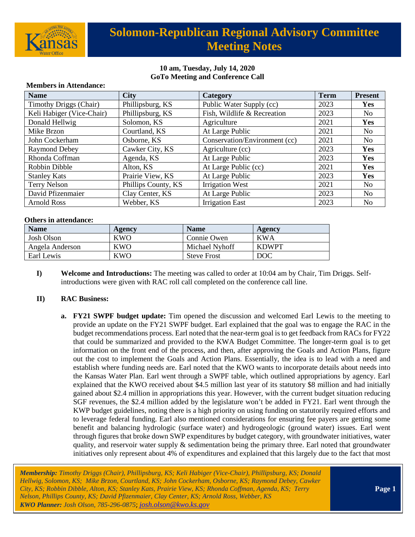

# **Solomon-Republican Regional Advisory Committee Meeting Notes**

### **10 am, Tuesday, July 14, 2020 GoTo Meeting and Conference Call**

| <b>Name</b>                   | <b>City</b>         | Category                      | <b>Term</b> | <b>Present</b> |  |  |
|-------------------------------|---------------------|-------------------------------|-------------|----------------|--|--|
| <b>Timothy Driggs (Chair)</b> | Phillipsburg, KS    | Public Water Supply (cc)      | 2023        | Yes            |  |  |
| Keli Habiger (Vice-Chair)     | Phillipsburg, KS    | Fish, Wildlife & Recreation   | 2023        | No.            |  |  |
| Donald Hellwig                | Solomon, KS         | Agriculture                   | 2021        | Yes            |  |  |
| Mike Brzon                    | Courtland, KS       | At Large Public               | 2021        | No             |  |  |
| John Cockerham                | Osborne, KS         | Conservation/Environment (cc) | 2021        | No             |  |  |
| <b>Raymond Debey</b>          | Cawker City, KS     | Agriculture (cc)              | 2023        | Yes            |  |  |
| Rhonda Coffman                | Agenda, KS          | At Large Public               | 2023        | <b>Yes</b>     |  |  |
| Robbin Dibble                 | Alton, KS           | At Large Public (cc)          | 2021        | Yes            |  |  |
| <b>Stanley Kats</b>           | Prairie View, KS    | At Large Public               | 2023        | Yes            |  |  |
| Terry Nelson                  | Phillips County, KS | <b>Irrigation West</b>        | 2021        | N <sub>o</sub> |  |  |
| David Pfizenmaier             | Clay Center, KS     | At Large Public               | 2023        | No             |  |  |
| <b>Arnold Ross</b>            | Webber, KS          | <b>Irrigation East</b>        | 2023        | N <sub>0</sub> |  |  |

#### **Members in Attendance:**

#### **Others in attendance:**

| <b>Name</b>     | Agency     | <b>Name</b>        | Agency       |
|-----------------|------------|--------------------|--------------|
| Josh Olson      | <b>KWO</b> | Connie Owen        | <b>KWA</b>   |
| Angela Anderson | KWO        | Michael Nyhoff     | <b>KDWPT</b> |
| Earl Lewis      | <b>KWO</b> | <b>Steve Frost</b> | <b>DOC</b>   |

**I) Welcome and Introductions:** The meeting was called to order at 10:04 am by Chair, Tim Driggs. Selfintroductions were given with RAC roll call completed on the conference call line.

#### **II) RAC Business:**

**a. FY21 SWPF budget update:** Tim opened the discussion and welcomed Earl Lewis to the meeting to provide an update on the FY21 SWPF budget. Earl explained that the goal was to engage the RAC in the budget recommendations process. Earl noted that the near-term goal isto get feedback from RACs for FY22 that could be summarized and provided to the KWA Budget Committee. The longer-term goal is to get information on the front end of the process, and then, after approving the Goals and Action Plans, figure out the cost to implement the Goals and Action Plans. Essentially, the idea is to lead with a need and establish where funding needs are. Earl noted that the KWO wants to incorporate details about needs into the Kansas Water Plan. Earl went through a SWPF table, which outlined appropriations by agency. Earl explained that the KWO received about \$4.5 million last year of its statutory \$8 million and had initially gained about \$2.4 million in appropriations this year. However, with the current budget situation reducing SGF revenues, the \$2.4 million added by the legislature won't be added in FY21. Earl went through the KWP budget guidelines, noting there is a high priority on using funding on statutorily required efforts and to leverage federal funding. Earl also mentioned considerations for ensuring fee payers are getting some benefit and balancing hydrologic (surface water) and hydrogeologic (ground water) issues. Earl went through figures that broke down SWP expenditures by budget category, with groundwater initiatives, water quality, and reservoir water supply  $\&$  sedimentation being the primary three. Earl noted that groundwater initiatives only represent about 4% of expenditures and explained that this largely due to the fact that most

*Membership: Timothy Driggs (Chair), Phillipsburg, KS; Keli Habiger (Vice-Chair), Phillipsburg, KS; Donald Hellwig, Solomon, KS; Mike Brzon, Courtland, KS; John Cockerham, Osborne, KS; Raymond Debey, Cawker City, KS; Robbin Dibble, Alton, KS; Stanley Kats, Prairie View, KS; Rhonda Coffman, Agenda, KS; Terry Nelson, Phillips County, KS; David Pfizenmaier, Clay Center, KS; Arnold Ross, Webber, KS KWO Planner: Josh Olson, 785-296-0875*; *[josh.olson@kwo.ks.gov](mailto:josh.olson@kwo.ks.gov)*

**Page 1**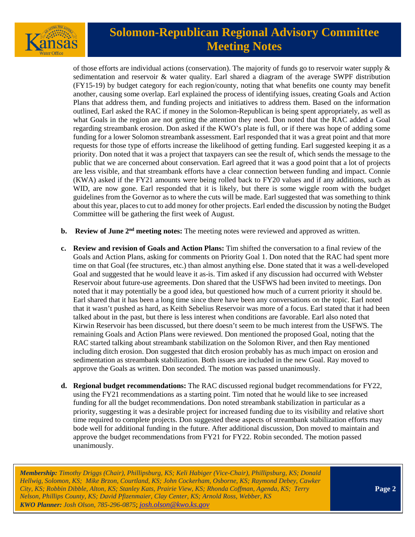

# **Solomon-Republican Regional Advisory Committee Meeting Notes**

of those efforts are individual actions (conservation). The majority of funds go to reservoir water supply  $\&$ sedimentation and reservoir & water quality. Earl shared a diagram of the average SWPF distribution (FY15-19) by budget category for each region/county, noting that what benefits one county may benefit another, causing some overlap. Earl explained the process of identifying issues, creating Goals and Action Plans that address them, and funding projects and initiatives to address them. Based on the information outlined, Earl asked the RAC if money in the Solomon-Republican is being spent appropriately, as well as what Goals in the region are not getting the attention they need. Don noted that the RAC added a Goal regarding streambank erosion. Don asked if the KWO's plate is full, or if there was hope of adding some funding for a lower Solomon streambank assessment. Earl responded that it was a great point and that more requests for those type of efforts increase the likelihood of getting funding. Earl suggested keeping it as a priority. Don noted that it was a project that taxpayers can see the result of, which sends the message to the public that we are concerned about conservation. Earl agreed that it was a good point that a lot of projects are less visible, and that streambank efforts have a clear connection between funding and impact. Connie (KWA) asked if the FY21 amounts were being rolled back to FY20 values and if any additions, such as WID, are now gone. Earl responded that it is likely, but there is some wiggle room with the budget guidelines from the Governor as to where the cuts will be made. Earl suggested that was something to think about this year, places to cut to add money for other projects. Earl ended the discussion by noting the Budget Committee will be gathering the first week of August.

- **b.** Review of June 2<sup>nd</sup> meeting notes: The meeting notes were reviewed and approved as written.
- **c. Review and revision of Goals and Action Plans:** Tim shifted the conversation to a final review of the Goals and Action Plans, asking for comments on Priority Goal 1. Don noted that the RAC had spent more time on that Goal (fee structures, etc.) than almost anything else. Done stated that it was a well-developed Goal and suggested that he would leave it as-is. Tim asked if any discussion had occurred with Webster Reservoir about future-use agreements. Don shared that the USFWS had been invited to meetings. Don noted that it may potentially be a good idea, but questioned how much of a current priority it should be. Earl shared that it has been a long time since there have been any conversations on the topic. Earl noted that it wasn't pushed as hard, as Keith Sebelius Reservoir was more of a focus. Earl stated that it had been talked about in the past, but there is less interest when conditions are favorable. Earl also noted that Kirwin Reservoir has been discussed, but there doesn't seem to be much interest from the USFWS. The remaining Goals and Action Plans were reviewed. Don mentioned the proposed Goal, noting that the RAC started talking about streambank stabilization on the Solomon River, and then Ray mentioned including ditch erosion. Don suggested that ditch erosion probably has as much impact on erosion and sedimentation as streambank stabilization. Both issues are included in the new Goal. Ray moved to approve the Goals as written. Don seconded. The motion was passed unanimously.
- **d. Regional budget recommendations:** The RAC discussed regional budget recommendations for FY22, using the FY21 recommendations as a starting point. Tim noted that he would like to see increased funding for all the budget recommendations. Don noted streambank stabilization in particular as a priority, suggesting it was a desirable project for increased funding due to its visibility and relative short time required to complete projects. Don suggested these aspects of streambank stabilization efforts may bode well for additional funding in the future. After additional discussion, Don moved to maintain and approve the budget recommendations from FY21 for FY22. Robin seconded. The motion passed unanimously.

*Membership: Timothy Driggs (Chair), Phillipsburg, KS; Keli Habiger (Vice-Chair), Phillipsburg, KS; Donald Hellwig, Solomon, KS; Mike Brzon, Courtland, KS; John Cockerham, Osborne, KS; Raymond Debey, Cawker City, KS; Robbin Dibble, Alton, KS; Stanley Kats, Prairie View, KS; Rhonda Coffman, Agenda, KS; Terry Nelson, Phillips County, KS; David Pfizenmaier, Clay Center, KS; Arnold Ross, Webber, KS KWO Planner: Josh Olson, 785-296-0875*; *[josh.olson@kwo.ks.gov](mailto:josh.olson@kwo.ks.gov)*